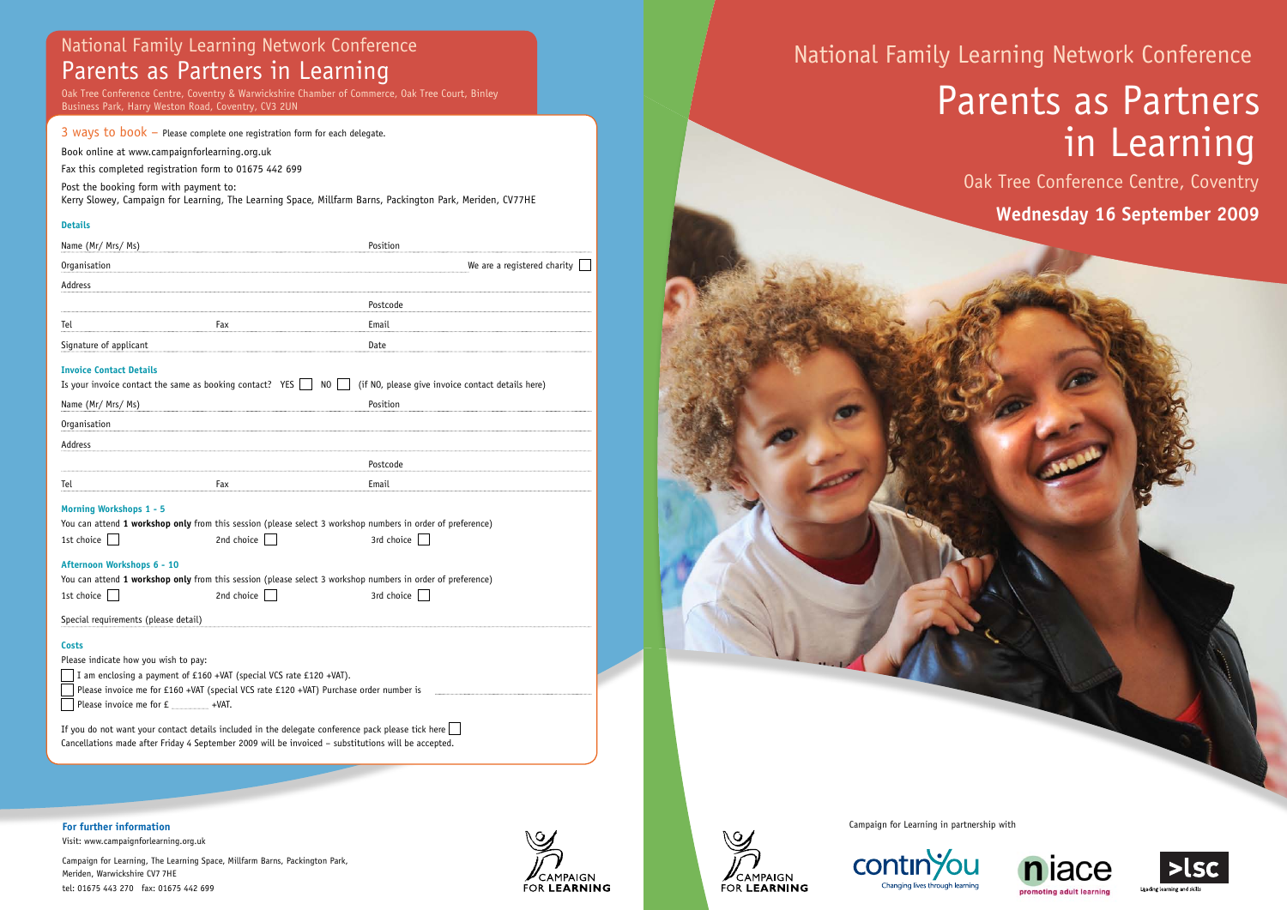Campaign for Learning in partnership with

**contin**/ou

Changing lives through learning

## National Family Learning Network Conference Parents as Partners in Learning

Book online at www.campaignforlearning.org.uk

Fax this completed registration form to 01675 442 699

Post the booking form with payment to:

Kerry Slowey, Campaign for Learning, The Learning Space, Millfarm Barns, Packington Park, Meriden, CV77HE

## **Details**

If you do not want your contact details included in the delegate conference pack please tick here  $\Box$ Cancellations made after Friday 4 September 2009 will be invoiced – substitutions will be accepted.

| Name (Mr/ Mrs/ Ms)                                                                                                              |                                                                                                            | Position                    |
|---------------------------------------------------------------------------------------------------------------------------------|------------------------------------------------------------------------------------------------------------|-----------------------------|
| Organisation                                                                                                                    |                                                                                                            | We are a registered charity |
| Address                                                                                                                         |                                                                                                            |                             |
|                                                                                                                                 |                                                                                                            | Postcode                    |
| Tel                                                                                                                             | Fax                                                                                                        | Email                       |
| Signature of applicant                                                                                                          |                                                                                                            | Date                        |
| <b>Invoice Contact Details</b>                                                                                                  |                                                                                                            |                             |
| Is your invoice contact the same as booking contact? YES<br>N <sub>0</sub><br>(if NO, please give invoice contact details here) |                                                                                                            |                             |
| Name (Mr/ Mrs/ Ms)                                                                                                              |                                                                                                            | Position                    |
| Organisation                                                                                                                    |                                                                                                            |                             |
| <b>Address</b>                                                                                                                  |                                                                                                            |                             |
|                                                                                                                                 |                                                                                                            | Postcode                    |
| Tel                                                                                                                             | Fax                                                                                                        | Email                       |
| <b>Morning Workshops 1 - 5</b>                                                                                                  |                                                                                                            |                             |
|                                                                                                                                 | You can attend 1 workshop only from this session (please select 3 workshop numbers in order of preference) |                             |
| 1st choice                                                                                                                      | 2nd choice                                                                                                 | 3rd choice                  |
| Afternoon Workshops 6 - 10                                                                                                      |                                                                                                            |                             |
|                                                                                                                                 | You can attend 1 workshop only from this session (please select 3 workshop numbers in order of preference) |                             |
| 1st choice                                                                                                                      | 2nd choice                                                                                                 | 3rd choice                  |
| Special requirements (please detail)                                                                                            |                                                                                                            |                             |
| <b>Costs</b>                                                                                                                    |                                                                                                            |                             |
| Please indicate how you wish to pay:                                                                                            |                                                                                                            |                             |
| I am enclosing a payment of £160 +VAT (special VCS rate £120 +VAT).                                                             |                                                                                                            |                             |
| Please invoice me for £160 +VAT (special VCS rate £120 +VAT) Purchase order number is                                           |                                                                                                            |                             |
| Please invoice me for £ _____________ +VAT.                                                                                     |                                                                                                            |                             |
|                                                                                                                                 |                                                                                                            |                             |

**For further information** Visit: www.campaignforlearning.org.uk

Campaign for Learning, The Learning Space, Millfarm Barns, Packington Park, Meriden, Warwickshire CV7 7HE tel: 01675 443 270 fax: 01675 442 699











# National Family Learning Network Conference Parents as Partners in Learning

Oak Tree Conference Centre, Coventry **Wednesday 16 September 2009** 





Leading learning and skill

Oak Tree Conference Centre, Coventry & Warwickshire Chamber of Commerce, Oak Tree Court, Binley Business Park, Harry Weston Road, Coventry, CV3 2UN

## 3 ways to  $book -$  Please complete one registration form for each delegate.